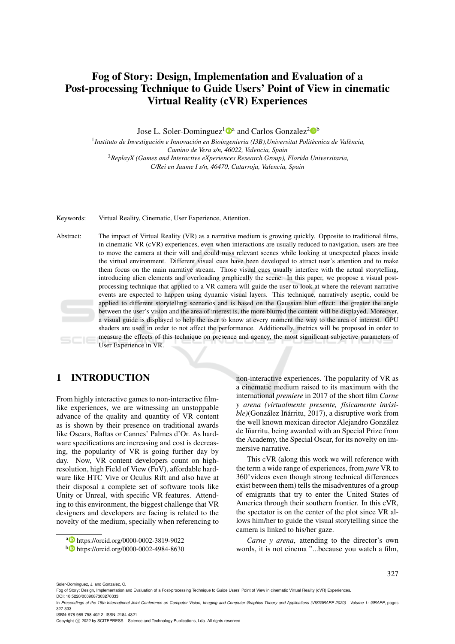## Fog of Story: Design, Implementation and Evaluation of a Post-processing Technique to Guide Users' Point of View in cinematic Virtual Reality (cVR) Experiences

Jose L. Soler-Dominguez<sup>1</sup><sup>0</sup><sup>a</sup> and Carlos Gonzalez<sup>2</sup><sup>0</sup><sup>b</sup>

<sup>1</sup> Instituto de Investigación e Innovación en Bioingenieria (I3B), Universitat Politècnica de València, *Camino de Vera s/n, 46022, Valencia, Spain* <sup>2</sup>*ReplayX (Games and Interactive eXperiences Research Group), Florida Universitaria, C/Rei en Jaume I s/n, 46470, Catarroja, Valencia, Spain*

Keywords: Virtual Reality, Cinematic, User Experience, Attention.

Abstract: The impact of Virtual Reality (VR) as a narrative medium is growing quickly. Opposite to traditional films, in cinematic VR (cVR) experiences, even when interactions are usually reduced to navigation, users are free to move the camera at their will and could miss relevant scenes while looking at unexpected places inside the virtual environment. Different visual cues have been developed to attract user's attention and to make them focus on the main narrative stream. Those visual cues usually interfere with the actual storytelling, introducing alien elements and overloading graphically the scene. In this paper, we propose a visual postprocessing technique that applied to a VR camera will guide the user to look at where the relevant narrative events are expected to happen using dynamic visual layers. This technique, narratively aseptic, could be applied to different storytelling scenarios and is based on the Gaussian blur effect: the greater the angle between the user's vision and the area of interest is, the more blurred the content will be displayed. Moreover, a visual guide is displayed to help the user to know at every moment the way to the area of interest. GPU shaders are used in order to not affect the performance. Additionally, metrics will be proposed in order to measure the effects of this technique on presence and agency, the most significant subjective parameters of User Experience in VR.

## 1 INTRODUCTION

From highly interactive games to non-interactive filmlike experiences, we are witnessing an unstoppable advance of the quality and quantity of VR content as is shown by their presence on traditional awards like Oscars, Baftas or Cannes' Palmes d'Or. As hardware specifications are increasing and cost is decreasing, the popularity of VR is going further day by day. Now, VR content developers count on highresolution, high Field of View (FoV), affordable hardware like HTC Vive or Oculus Rift and also have at their disposal a complete set of software tools like Unity or Unreal, with specific VR features. Attending to this environment, the biggest challenge that VR designers and developers are facing is related to the novelty of the medium, specially when referencing to

non-interactive experiences. The popularity of VR as a cinematic medium raised to its maximum with the international *premiere* in 2017 of the short film *Carne y arena (virtualmente presente, f´ısicamente invisible*)(González Iñárritu, 2017), a disruptive work from the well known mexican director Alejandro González de Iñarritu, being awarded with an Special Prize from the Academy, the Special Oscar, for its novelty on immersive narrative.

This cVR (along this work we will reference with the term a wide range of experiences, from *pure* VR to 360°videos even though strong technical differences exist between them) tells the misadventures of a group of emigrants that try to enter the United States of America through their southern frontier. In this cVR, the spectator is on the center of the plot since VR allows him/her to guide the visual storytelling since the camera is linked to his/her gaze.

*Carne y arena*, attending to the director's own words, it is not cinema "...because you watch a film,

327

ISBN: 978-989-758-402-2; ISSN: 2184-4321

Copyright © 2022 by SCITEPRESS - Science and Technology Publications, Lda. All rights reserved

<sup>a</sup> https://orcid.org/0000-0002-3819-9022

<sup>b</sup> https://orcid.org/0000-0002-4984-8630

Soler-Dominguez, J. and Gonzalez, C.

Fog of Story: Design, Implementation and Evaluation of a Post-processing Technique to Guide Users' Point of View in cinematic Virtual Reality (cVR) Experiences. DOI: 10.5220/0009087303270333

In *Proceedings of the 15th International Joint Conference on Computer Vision, Imaging and Computer Graphics Theory and Applications (VISIGRAPP 2020) - Volume 1: GRAPP*, pages 327-333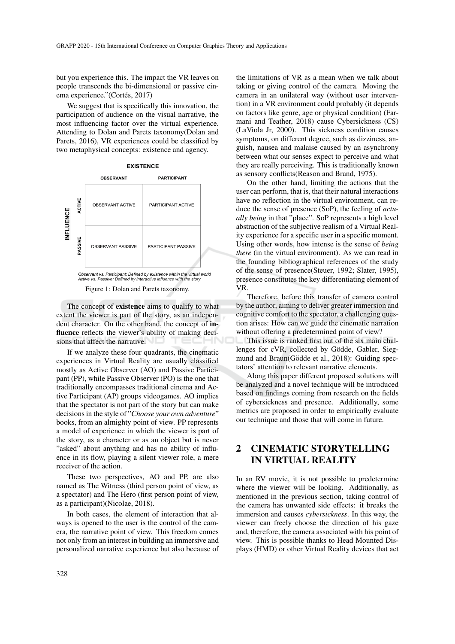but you experience this. The impact the VR leaves on people transcends the bi-dimensional or passive cinema experience."(Cortés, 2017)

We suggest that is specifically this innovation, the participation of audience on the visual narrative, the most influencing factor over the virtual experience. Attending to Dolan and Parets taxonomy(Dolan and Parets, 2016), VR experiences could be classified by two metaphysical concepts: existence and agency.



Figure 1: Dolan and Parets taxonomy.

The concept of existence aims to qualify to what extent the viewer is part of the story, as an independent character. On the other hand, the concept of influence reflects the viewer's ability of making decisions that affect the narrative.

If we analyze these four quadrants, the cinematic experiences in Virtual Reality are usually classified mostly as Active Observer (AO) and Passive Participant (PP), while Passive Observer (PO) is the one that traditionally encompasses traditional cinema and Active Participant (AP) groups videogames. AO implies that the spectator is not part of the story but can make decisions in the style of "*Choose your own adventure*" books, from an almighty point of view. PP represents a model of experience in which the viewer is part of the story, as a character or as an object but is never "asked" about anything and has no ability of influence in its flow, playing a silent viewer role, a mere receiver of the action.

These two perspectives, AO and PP, are also named as The Witness (third person point of view, as a spectator) and The Hero (first person point of view, as a participant)(Nicolae, 2018).

In both cases, the element of interaction that always is opened to the user is the control of the camera, the narrative point of view. This freedom comes not only from an interest in building an immersive and personalized narrative experience but also because of

the limitations of VR as a mean when we talk about taking or giving control of the camera. Moving the camera in an unilateral way (without user intervention) in a VR environment could probably (it depends on factors like genre, age or physical condition) (Farmani and Teather, 2018) cause Cybersickness (CS) (LaViola Jr, 2000). This sickness condition causes symptoms, on different degree, such as dizziness, anguish, nausea and malaise caused by an asynchrony between what our senses expect to perceive and what they are really perceiving. This is traditionally known as sensory conflicts(Reason and Brand, 1975).

On the other hand, limiting the actions that the user can perform, that is, that their natural interactions have no reflection in the virtual environment, can reduce the sense of presence (SoP), the feeling of *actually being* in that "place". SoP represents a high level abstraction of the subjective realism of a Virtual Reality experience for a specific user in a specific moment. Using other words, how intense is the sense of *being there* (in the virtual environment). As we can read in the founding bibliographical references of the study of the sense of presence(Steuer, 1992; Slater, 1995), presence constitutes the key differentiating element of VR.

Therefore, before this transfer of camera control by the author, aiming to deliver greater immersion and cognitive comfort to the spectator, a challenging question arises: How can we guide the cinematic narration without offering a predetermined point of view?

This issue is ranked first out of the six main challenges for cVR, collected by Gödde, Gabler, Siegmund and Braun(Gödde et al., 2018): Guiding spectators' attention to relevant narrative elements.

Along this paper different proposed solutions will be analyzed and a novel technique will be introduced based on findings coming from research on the fields of cybersickness and presence. Additionally, some metrics are proposed in order to empirically evaluate our technique and those that will come in future.

## 2 CINEMATIC STORYTELLING IN VIRTUAL REALITY

In an RV movie, it is not possible to predetermine where the viewer will be looking. Additionally, as mentioned in the previous section, taking control of the camera has unwanted side effects: it breaks the immersion and causes *cybersickness*. In this way, the viewer can freely choose the direction of his gaze and, therefore, the camera associated with his point of view. This is possible thanks to Head Mounted Displays (HMD) or other Virtual Reality devices that act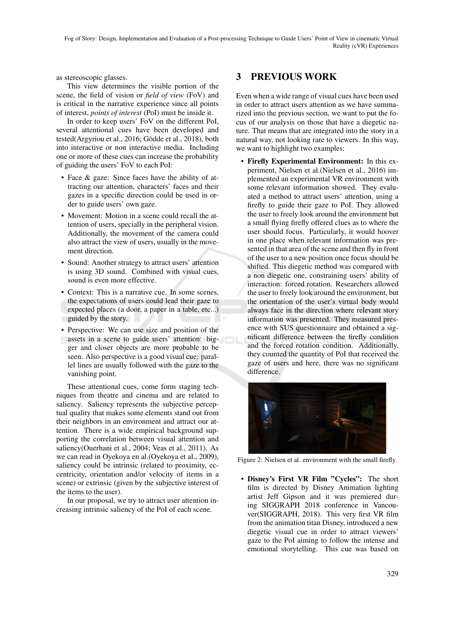as stereoscopic glasses.

This view determines the visible portion of the scene, the field of vision or *field of view* (FoV) and is critical in the narrative experience since all points of interest, *points of interest* (PoI) must be inside it.

In order to keep users' FoV on the different PoI, several attentional cues have been developed and tested(Argyriou et al., 2016; Gödde et al., 2018), both into interactive or non interactive media. Including one or more of these cues can increase the probability of guiding the users' FoV to each PoI:

- Face & gaze: Since faces have the ability of attracting our attention, characters' faces and their gazes in a specific direction could be used in order to guide users' own gaze.
- Movement: Motion in a scene could recall the attention of users, specially in the peripheral vision. Additionally, the movement of the camera could also attract the view of users, usually in the movement direction.
- Sound: Another strategy to attract users' attention is using 3D sound. Combined with visual cues, sound is even more effective.
- Context: This is a narrative cue. In some scenes, the expectations of users could lead their gaze to expected places (a door, a paper in a table, etc...) guided by the story.
- Perspective: We can use size and position of the assets in a scene to guide users' attention: bigger and closer objects are more probable to be seen. Also perspective is a good visual cue: parallel lines are usually followed with the gaze to the vanishing point.

These attentional cues, come form staging techniques from theatre and cinema and are related to saliency. Saliency represents the subjective perceptual quality that makes some elements stand out from their neighbors in an environment and attract our attention. There is a wide empirical background supporting the correlation between visual attention and saliency(Ouerhani et al., 2004; Veas et al., 2011). As we can read in Oyekoya en al.(Oyekoya et al., 2009), saliency could be intrinsic (related to proximity, eccentricity, orientation and/or velocity of items in a scene) or extrinsic (given by the subjective interest of the items to the user).

In our proposal, we try to attract user attention increasing intrinsic saliency of the PoI of each scene.

## 3 PREVIOUS WORK

Even when a wide range of visual cues have been used in order to attract users attention as we have summarized into the previous section, we want to put the focus of our analysis on those that have a diegetic nature. That means that are integrated into the story in a natural way, not looking rare to viewers. In this way, we want to highlight two examples:

• Firefly Experimental Environment: In this experiment, Nielsen et al.(Nielsen et al., 2016) implemented an experimental VR environment with some relevant information showed. They evaluated a method to attract users' attention, using a firefly to guide their gaze to PoI. They allowed the user to freely look around the environment but a small flying firefly offered clues as to where the user should focus. Particularly, it would hoover in one place when relevant information was presented in that area of the scene and then fly in front of the user to a new position once focus should be shifted. This diegetic method was compared with a non diegetic one, constraining users' ability of interaction: forced rotation. Researchers allowed the user to freely look around the environment, but the orientation of the user's virtual body would always face in the direction where relevant story information was presented. They measured presence with SUS questionnaire and obtained a significant difference between the firefly condition and the forced rotation condition. Additionally, they counted the quantity of PoI that received the gaze of users and here, there was no significant difference.



Figure 2: Nielsen et al. environment with the small firefly.

• Disney's First VR Film "Cycles": The short film is directed by Disney Animation lighting artist Jeff Gipson and it was premiered during SIGGRAPH 2018 conference in Vancouver(SIGGRAPH, 2018). This very first VR film from the animation titan Disney, introduced a new diegetic visual cue in order to attract viewers' gaze to the PoI aiming to follow the intense and emotional storytelling. This cue was based on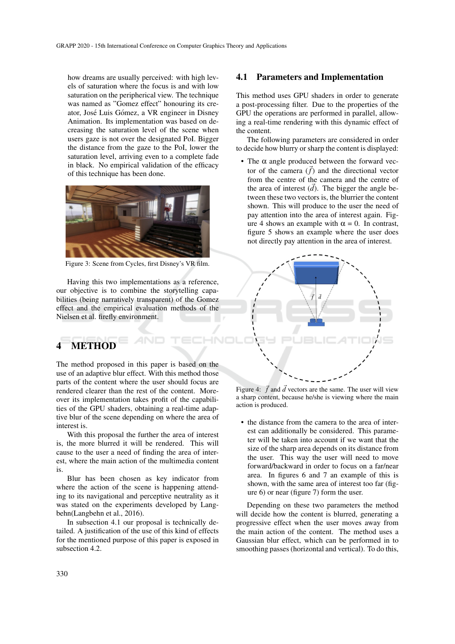how dreams are usually perceived: with high levels of saturation where the focus is and with low saturation on the peripherical view. The technique was named as "Gomez effect" honouring its creator, José Luis Gómez, a VR engineer in Disney Animation. Its implementation was based on decreasing the saturation level of the scene when users gaze is not over the designated PoI. Bigger the distance from the gaze to the PoI, lower the saturation level, arriving even to a complete fade in black. No empirical validation of the efficacy of this technique has been done.



Figure 3: Scene from Cycles, first Disney's VR film.

Having this two implementations as a reference, our objective is to combine the storytelling capabilities (being narratively transparent) of the Gomez effect and the empirical evaluation methods of the Nielsen et al. firefly environment.

# 4 METHOD

The method proposed in this paper is based on the use of an adaptive blur effect. With this method those parts of the content where the user should focus are rendered clearer than the rest of the content. Moreover its implementation takes profit of the capabilities of the GPU shaders, obtaining a real-time adaptive blur of the scene depending on where the area of interest is.

With this proposal the further the area of interest is, the more blurred it will be rendered. This will cause to the user a need of finding the area of interest, where the main action of the multimedia content is.

Blur has been chosen as key indicator from where the action of the scene is happening attending to its navigational and perceptive neutrality as it was stated on the experiments developed by Langbehn(Langbehn et al., 2016).

In subsection 4.1 our proposal is technically detailed. A justification of the use of this kind of effects for the mentioned purpose of this paper is exposed in subsection 4.2.

#### 4.1 Parameters and Implementation

This method uses GPU shaders in order to generate a post-processing filter. Due to the properties of the GPU the operations are performed in parallel, allowing a real-time rendering with this dynamic effect of the content.

The following parameters are considered in order to decide how blurry or sharp the content is displayed:

• The α angle produced between the forward vector of the camera  $(\vec{f})$  and the directional vector from the centre of the camera and the centre of the area of interest  $(\vec{d})$ . The bigger the angle between these two vectors is, the blurrier the content shown. This will produce to the user the need of pay attention into the area of interest again. Figure 4 shows an example with  $\alpha = 0$ . In contrast, figure 5 shows an example where the user does not directly pay attention in the area of interest.



Figure 4:  $\vec{f}$  and  $\vec{d}$  vectors are the same. The user will view a sharp content, because he/she is viewing where the main action is produced.

• the distance from the camera to the area of interest can additionally be considered. This parameter will be taken into account if we want that the size of the sharp area depends on its distance from the user. This way the user will need to move forward/backward in order to focus on a far/near area. In figures 6 and 7 an example of this is shown, with the same area of interest too far (figure 6) or near (figure 7) form the user.

Depending on these two parameters the method will decide how the content is blurred, generating a progressive effect when the user moves away from the main action of the content. The method uses a Gaussian blur effect, which can be performed in to smoothing passes (horizontal and vertical). To do this,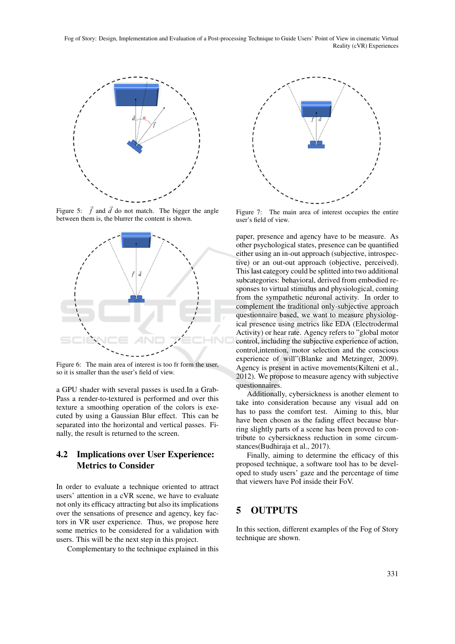Fog of Story: Design, Implementation and Evaluation of a Post-processing Technique to Guide Users' Point of View in cinematic Virtual Reality (cVR) Experiences



Figure 5:  $\vec{f}$  and  $\vec{d}$  do not match. The bigger the angle between them is, the blurrer the content is shown.



Figure 6: The main area of interest is too fr form the user, so it is smaller than the user's field of view.

a GPU shader with several passes is used.In a Grab-Pass a render-to-textured is performed and over this texture a smoothing operation of the colors is executed by using a Gaussian Blur effect. This can be separated into the horizontal and vertical passes. Finally, the result is returned to the screen.

### 4.2 Implications over User Experience: Metrics to Consider

In order to evaluate a technique oriented to attract users' attention in a cVR scene, we have to evaluate not only its efficacy attracting but also its implications over the sensations of presence and agency, key factors in VR user experience. Thus, we propose here some metrics to be considered for a validation with users. This will be the next step in this project.

Complementary to the technique explained in this



Figure 7: The main area of interest occupies the entire user's field of view.

paper, presence and agency have to be measure. As other psychological states, presence can be quantified either using an in-out approach (subjective, introspective) or an out-out approach (objective, perceived). This last category could be splitted into two additional subcategories: behavioral, derived from embodied responses to virtual stimulus and physiological, coming from the sympathetic neuronal activity. In order to complement the traditional only-subjective approach questionnaire based, we want to measure physiological presence using metrics like EDA (Electrodermal Activity) or hear rate. Agency refers to "global motor control, including the subjective experience of action, control,intention, motor selection and the conscious experience of will"(Blanke and Metzinger, 2009). Agency is present in active movements(Kilteni et al., 2012). We propose to measure agency with subjective questionnaires.

Additionally, cybersickness is another element to take into consideration because any visual add on has to pass the comfort test. Aiming to this, blur have been chosen as the fading effect because blurring slightly parts of a scene has been proved to contribute to cybersickness reduction in some circumstances(Budhiraja et al., 2017).

Finally, aiming to determine the efficacy of this proposed technique, a software tool has to be developed to study users' gaze and the percentage of time that viewers have PoI inside their FoV.

## 5 OUTPUTS

In this section, different examples of the Fog of Story technique are shown.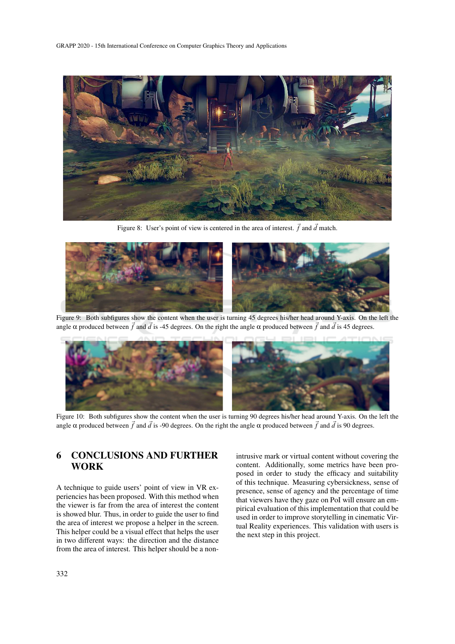

Figure 8: User's point of view is centered in the area of interest.  $\vec{f}$  and  $\vec{d}$  match.



Figure 9: Both subfigures show the content when the user is turning 45 degrees his/her head around Y-axis. On the left the angle  $\alpha$  produced between  $\vec{f}$  and  $\vec{d}$  is -45 degrees. On the right the angle  $\alpha$  produced between  $\vec{f}$  and  $\vec{d}$  is 45 degrees.



Figure 10: Both subfigures show the content when the user is turning 90 degrees his/her head around Y-axis. On the left the angle  $\alpha$  produced between  $\vec{f}$  and  $\vec{d}$  is -90 degrees. On the right the angle  $\alpha$  produced between  $\vec{f}$  and  $\vec{d}$  is 90 degrees.

## 6 CONCLUSIONS AND FURTHER WORK

A technique to guide users' point of view in VR experiencies has been proposed. With this method when the viewer is far from the area of interest the content is showed blur. Thus, in order to guide the user to find the area of interest we propose a helper in the screen. This helper could be a visual effect that helps the user in two different ways: the direction and the distance from the area of interest. This helper should be a nonintrusive mark or virtual content without covering the content. Additionally, some metrics have been proposed in order to study the efficacy and suitability of this technique. Measuring cybersickness, sense of presence, sense of agency and the percentage of time that viewers have they gaze on PoI will ensure an empirical evaluation of this implementation that could be used in order to improve storytelling in cinematic Virtual Reality experiences. This validation with users is the next step in this project.